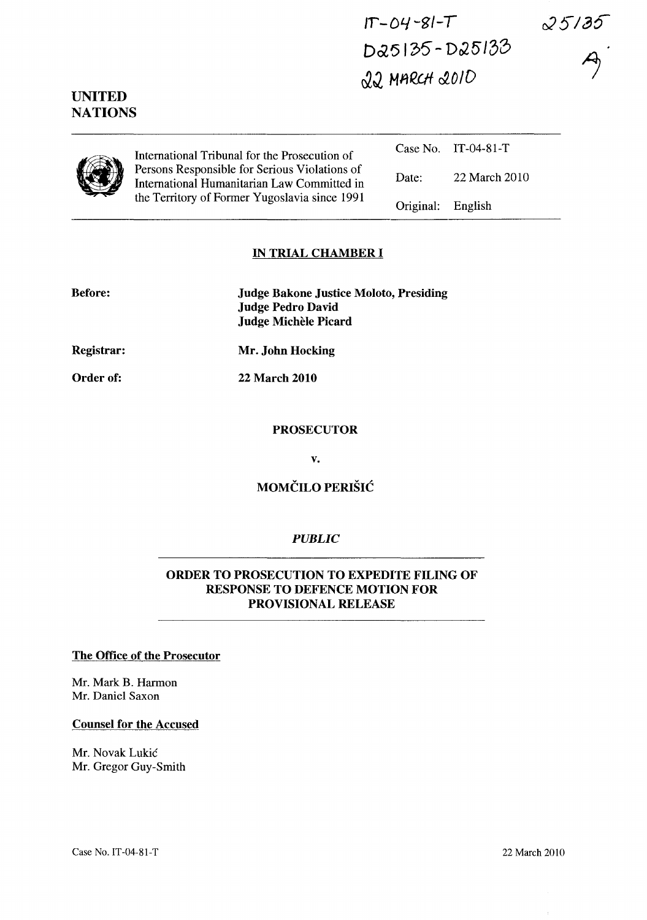$25135$ 

 $IT - O4 - 8I - T$ Da5135-D25133 ~J. *MIlQCIf* ~OID



UNITED **NATIONS** 

> International Tribunal for the Prosecution of Persons Responsible for Serious Violations of International Humanitarian Law Committed in the Territory of Former Yugoslavia since 1991

|                   | $Case No.$ IT-04-81-T |
|-------------------|-----------------------|
| Date:             | 22 March 2010         |
| Original: English |                       |

### IN TRIAL CHAMBER I

| <b>Before:</b> | <b>Judge Bakone Justice Moloto, Presiding</b><br><b>Judge Pedro David</b><br>Judge Michèle Picard |
|----------------|---------------------------------------------------------------------------------------------------|
| Registrar:     | Mr. John Hocking                                                                                  |

22 March 2010

Order of:

#### PROSECUTOR

v.

## MOMČILO PERIŠIĆ

### *PUBLIC*

### ORDER TO PROSECUTION TO EXPEDITE FILING OF RESPONSE TO DEFENCE MOTION FOR PROVISIONAL RELEASE

#### The Office of the Prosecutor

Mr. Mark B. Harmon Mr. Daniel Saxon

#### Counsel for the Accused

Mr. Novak Lukic Mr. Gregor Guy-Smith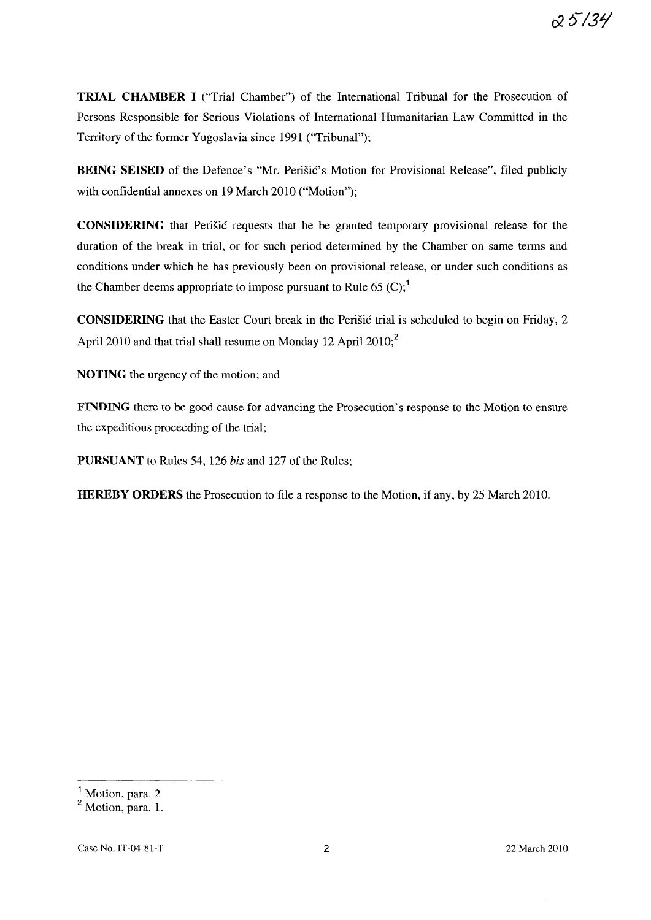**TRIAL CHAMBER I** ("Trial Chamber") of the International Tribunal for the Prosecution of Persons Responsible for Serious Violations of International Humanitarian Law Committed in the Territory of the former Yugoslavia since 1991 (''Tribunal'');

**BEING SEISED** of the Defence's "Mr. Perišic's Motion for Provisional Release", filed publicly with confidential annexes on 19 March 2010 ("Motion");

**CONSIDERING** that Perisic requests that he be granted temporary provisional release for the duration of the break in trial, or for such period determined by the Chamber on same terms and conditions under which he has previously been on provisional release, or under such conditions as the Chamber deems appropriate to impose pursuant to Rule 65  $(C)$ ;<sup>1</sup>

**CONSIDERING** that the Easter Court break in the Perisic trial is scheduled to begin on Friday, 2 April 2010 and that trial shall resume on Monday 12 April 2010;<sup>2</sup>

**NOTING** the urgency of the motion; and

**FINDING** there to be good cause for advancing the Prosecution's response to the Motion to ensure the expeditious proceeding of the trial;

**PURSUANT** to Rules 54, 126 *his* and 127 of the Rules;

**HEREBY ORDERS** the Prosecution to file a response to the Motion, if any, by 25 March 2010.

 $<sup>1</sup>$  Motion, para. 2</sup>

<sup>&</sup>lt;sup>2</sup> Motion, para. 1.